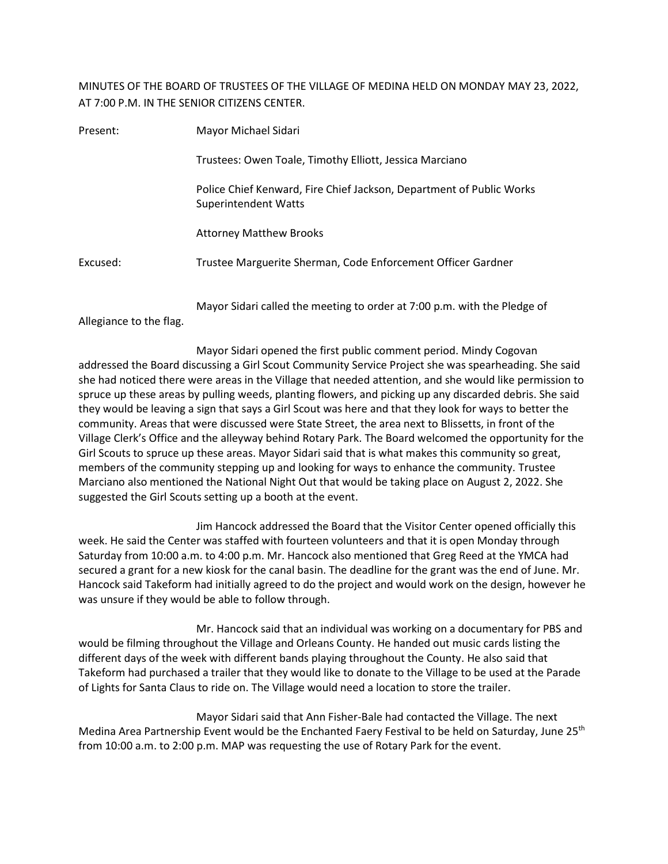## MINUTES OF THE BOARD OF TRUSTEES OF THE VILLAGE OF MEDINA HELD ON MONDAY MAY 23, 2022, AT 7:00 P.M. IN THE SENIOR CITIZENS CENTER.

| Present:                | Mayor Michael Sidari                                                                                |
|-------------------------|-----------------------------------------------------------------------------------------------------|
|                         | Trustees: Owen Toale, Timothy Elliott, Jessica Marciano                                             |
|                         | Police Chief Kenward, Fire Chief Jackson, Department of Public Works<br><b>Superintendent Watts</b> |
|                         | <b>Attorney Matthew Brooks</b>                                                                      |
| Excused:                | Trustee Marguerite Sherman, Code Enforcement Officer Gardner                                        |
| Allegiance to the flag. | Mayor Sidari called the meeting to order at 7:00 p.m. with the Pledge of                            |

Mayor Sidari opened the first public comment period. Mindy Cogovan addressed the Board discussing a Girl Scout Community Service Project she was spearheading. She said she had noticed there were areas in the Village that needed attention, and she would like permission to spruce up these areas by pulling weeds, planting flowers, and picking up any discarded debris. She said they would be leaving a sign that says a Girl Scout was here and that they look for ways to better the community. Areas that were discussed were State Street, the area next to Blissetts, in front of the Village Clerk's Office and the alleyway behind Rotary Park. The Board welcomed the opportunity for the Girl Scouts to spruce up these areas. Mayor Sidari said that is what makes this community so great, members of the community stepping up and looking for ways to enhance the community. Trustee Marciano also mentioned the National Night Out that would be taking place on August 2, 2022. She suggested the Girl Scouts setting up a booth at the event.

Jim Hancock addressed the Board that the Visitor Center opened officially this week. He said the Center was staffed with fourteen volunteers and that it is open Monday through Saturday from 10:00 a.m. to 4:00 p.m. Mr. Hancock also mentioned that Greg Reed at the YMCA had secured a grant for a new kiosk for the canal basin. The deadline for the grant was the end of June. Mr. Hancock said Takeform had initially agreed to do the project and would work on the design, however he was unsure if they would be able to follow through.

Mr. Hancock said that an individual was working on a documentary for PBS and would be filming throughout the Village and Orleans County. He handed out music cards listing the different days of the week with different bands playing throughout the County. He also said that Takeform had purchased a trailer that they would like to donate to the Village to be used at the Parade of Lights for Santa Claus to ride on. The Village would need a location to store the trailer.

Mayor Sidari said that Ann Fisher-Bale had contacted the Village. The next Medina Area Partnership Event would be the Enchanted Faery Festival to be held on Saturday, June 25<sup>th</sup> from 10:00 a.m. to 2:00 p.m. MAP was requesting the use of Rotary Park for the event.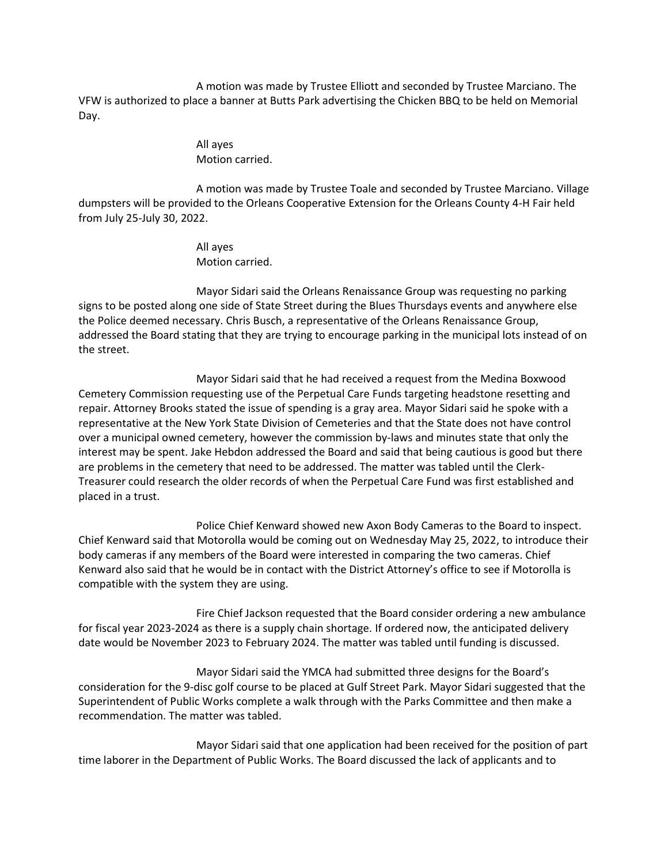A motion was made by Trustee Elliott and seconded by Trustee Marciano. The VFW is authorized to place a banner at Butts Park advertising the Chicken BBQ to be held on Memorial Day.

> All ayes Motion carried.

A motion was made by Trustee Toale and seconded by Trustee Marciano. Village dumpsters will be provided to the Orleans Cooperative Extension for the Orleans County 4-H Fair held from July 25-July 30, 2022.

> All ayes Motion carried.

Mayor Sidari said the Orleans Renaissance Group was requesting no parking signs to be posted along one side of State Street during the Blues Thursdays events and anywhere else the Police deemed necessary. Chris Busch, a representative of the Orleans Renaissance Group, addressed the Board stating that they are trying to encourage parking in the municipal lots instead of on the street.

Mayor Sidari said that he had received a request from the Medina Boxwood Cemetery Commission requesting use of the Perpetual Care Funds targeting headstone resetting and repair. Attorney Brooks stated the issue of spending is a gray area. Mayor Sidari said he spoke with a representative at the New York State Division of Cemeteries and that the State does not have control over a municipal owned cemetery, however the commission by-laws and minutes state that only the interest may be spent. Jake Hebdon addressed the Board and said that being cautious is good but there are problems in the cemetery that need to be addressed. The matter was tabled until the Clerk-Treasurer could research the older records of when the Perpetual Care Fund was first established and placed in a trust.

Police Chief Kenward showed new Axon Body Cameras to the Board to inspect. Chief Kenward said that Motorolla would be coming out on Wednesday May 25, 2022, to introduce their body cameras if any members of the Board were interested in comparing the two cameras. Chief Kenward also said that he would be in contact with the District Attorney's office to see if Motorolla is compatible with the system they are using.

Fire Chief Jackson requested that the Board consider ordering a new ambulance for fiscal year 2023-2024 as there is a supply chain shortage. If ordered now, the anticipated delivery date would be November 2023 to February 2024. The matter was tabled until funding is discussed.

Mayor Sidari said the YMCA had submitted three designs for the Board's consideration for the 9-disc golf course to be placed at Gulf Street Park. Mayor Sidari suggested that the Superintendent of Public Works complete a walk through with the Parks Committee and then make a recommendation. The matter was tabled.

Mayor Sidari said that one application had been received for the position of part time laborer in the Department of Public Works. The Board discussed the lack of applicants and to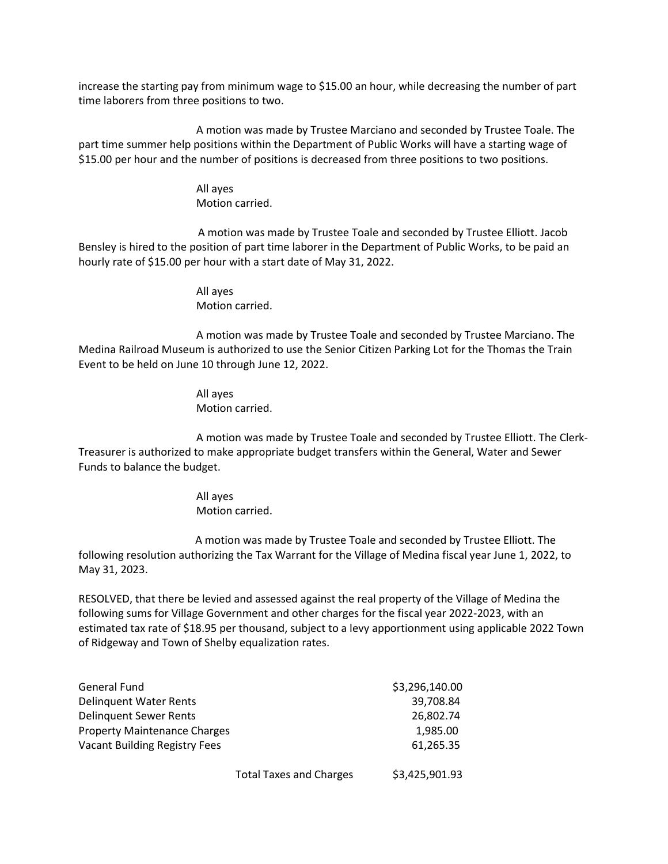increase the starting pay from minimum wage to \$15.00 an hour, while decreasing the number of part time laborers from three positions to two.

A motion was made by Trustee Marciano and seconded by Trustee Toale. The part time summer help positions within the Department of Public Works will have a starting wage of \$15.00 per hour and the number of positions is decreased from three positions to two positions.

> All ayes Motion carried.

 A motion was made by Trustee Toale and seconded by Trustee Elliott. Jacob Bensley is hired to the position of part time laborer in the Department of Public Works, to be paid an hourly rate of \$15.00 per hour with a start date of May 31, 2022.

> All ayes Motion carried.

A motion was made by Trustee Toale and seconded by Trustee Marciano. The Medina Railroad Museum is authorized to use the Senior Citizen Parking Lot for the Thomas the Train Event to be held on June 10 through June 12, 2022.

> All ayes Motion carried.

A motion was made by Trustee Toale and seconded by Trustee Elliott. The Clerk-Treasurer is authorized to make appropriate budget transfers within the General, Water and Sewer Funds to balance the budget.

> All ayes Motion carried.

 A motion was made by Trustee Toale and seconded by Trustee Elliott. The following resolution authorizing the Tax Warrant for the Village of Medina fiscal year June 1, 2022, to May 31, 2023.

RESOLVED, that there be levied and assessed against the real property of the Village of Medina the following sums for Village Government and other charges for the fiscal year 2022-2023, with an estimated tax rate of \$18.95 per thousand, subject to a levy apportionment using applicable 2022 Town of Ridgeway and Town of Shelby equalization rates.

| General Fund                         | \$3,296,140.00 |
|--------------------------------------|----------------|
| Delinguent Water Rents               | 39,708.84      |
| <b>Delinquent Sewer Rents</b>        | 26,802.74      |
| <b>Property Maintenance Charges</b>  | 1.985.00       |
| <b>Vacant Building Registry Fees</b> | 61,265.35      |
|                                      |                |

Total Taxes and Charges \$3,425,901.93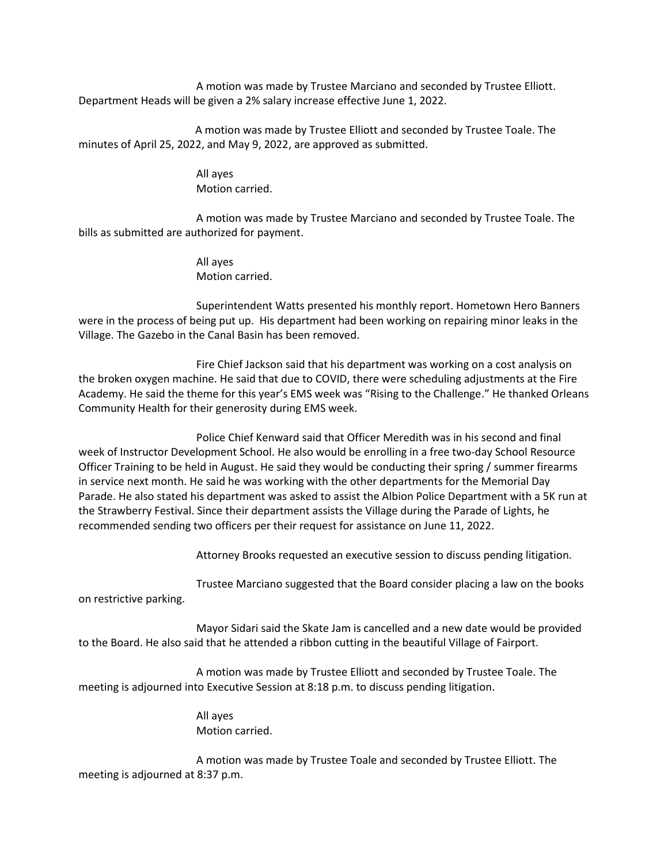A motion was made by Trustee Marciano and seconded by Trustee Elliott. Department Heads will be given a 2% salary increase effective June 1, 2022.

 A motion was made by Trustee Elliott and seconded by Trustee Toale. The minutes of April 25, 2022, and May 9, 2022, are approved as submitted.

> All ayes Motion carried.

A motion was made by Trustee Marciano and seconded by Trustee Toale. The bills as submitted are authorized for payment.

> All ayes Motion carried.

Superintendent Watts presented his monthly report. Hometown Hero Banners were in the process of being put up. His department had been working on repairing minor leaks in the Village. The Gazebo in the Canal Basin has been removed.

Fire Chief Jackson said that his department was working on a cost analysis on the broken oxygen machine. He said that due to COVID, there were scheduling adjustments at the Fire Academy. He said the theme for this year's EMS week was "Rising to the Challenge." He thanked Orleans Community Health for their generosity during EMS week.

Police Chief Kenward said that Officer Meredith was in his second and final week of Instructor Development School. He also would be enrolling in a free two-day School Resource Officer Training to be held in August. He said they would be conducting their spring / summer firearms in service next month. He said he was working with the other departments for the Memorial Day Parade. He also stated his department was asked to assist the Albion Police Department with a 5K run at the Strawberry Festival. Since their department assists the Village during the Parade of Lights, he recommended sending two officers per their request for assistance on June 11, 2022.

Attorney Brooks requested an executive session to discuss pending litigation.

Trustee Marciano suggested that the Board consider placing a law on the books on restrictive parking.

Mayor Sidari said the Skate Jam is cancelled and a new date would be provided to the Board. He also said that he attended a ribbon cutting in the beautiful Village of Fairport.

A motion was made by Trustee Elliott and seconded by Trustee Toale. The meeting is adjourned into Executive Session at 8:18 p.m. to discuss pending litigation.

> All ayes Motion carried.

A motion was made by Trustee Toale and seconded by Trustee Elliott. The meeting is adjourned at 8:37 p.m.